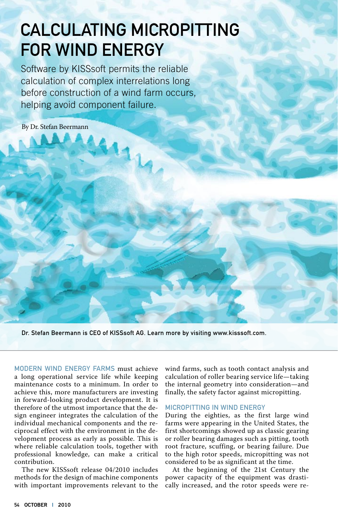# Calculating Micropitting for Wind Energy

Software by KISSsoft permits the reliable calculation of complex interrelations long before construction of a wind farm occurs, helping avoid component failure.

 $11_1$ 

By Dr. Stefan Beermann

Dr. Stefan Beermann is CEO of KISSsoft AG. Learn more by visiting www.kisssoft.com.

Modern wind energy farms must achieve a long operational service life while keeping maintenance costs to a minimum. In order to achieve this, more manufacturers are investing in forward-looking product development. It is therefore of the utmost importance that the design engineer integrates the calculation of the individual mechanical components and the reciprocal effect with the environment in the development process as early as possible. This is where reliable calculation tools, together with professional knowledge, can make a critical contribution.

The new KISSsoft release 04/2010 includes methods for the design of machine components with important improvements relevant to the

wind farms, such as tooth contact analysis and calculation of roller bearing service life—taking the internal geometry into consideration—and finally, the safety factor against micropitting.

#### Micropitting in Wind Energy

During the eighties, as the first large wind farms were appearing in the United States, the first shortcomings showed up as classic gearing or roller bearing damages such as pitting, tooth root fracture, scuffing, or bearing failure. Due to the high rotor speeds, micropitting was not considered to be as significant at the time.

At the beginning of the 21st Century the power capacity of the equipment was drastically increased, and the rotor speeds were re-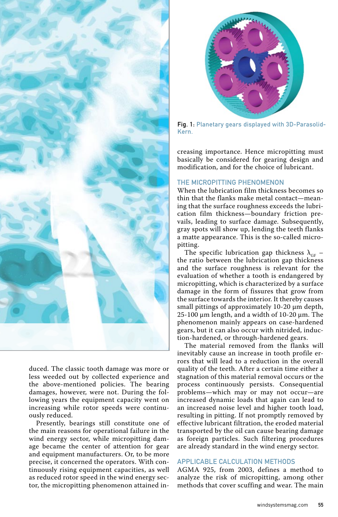

duced. The classic tooth damage was more or less weeded out by collected experience and the above-mentioned policies. The bearing damages, however, were not. During the following years the equipment capacity went on increasing while rotor speeds were continuously reduced.

Presently, bearings still constitute one of the main reasons for operational failure in the wind energy sector, while micropitting damage became the center of attention for gear and equipment manufacturers. Or, to be more precise, it concerned the operators. With continuously rising equipment capacities, as well as reduced rotor speed in the wind energy sector, the micropitting phenomenon attained in-



Fig. 1: Planetary gears displayed with 3D-Parasolid-Kern.

creasing importance. Hence micropitting must basically be considered for gearing design and modification, and for the choice of lubricant.

## The Micropitting Phenomenon

When the lubrication film thickness becomes so thin that the flanks make metal contact—meaning that the surface roughness exceeds the lubrication film thickness—boundary friction prevails, leading to surface damage. Subsequently, gray spots will show up, lending the teeth flanks a matte appearance. This is the so-called micropitting.

The specific lubrication gap thickness  $\lambda_{\text{GF}}$  – the ratio between the lubrication gap thickness and the surface roughness is relevant for the evaluation of whether a tooth is endangered by micropitting, which is characterized by a surface damage in the form of fissures that grow from the surface towards the interior. It thereby causes small pittings of approximately 10-20 μm depth, 25-100 μm length, and a width of 10-20 μm. The phenomenon mainly appears on case-hardened gears, but it can also occur with nitrided, induction-hardened, or through-hardened gears.

The material removed from the flanks will inevitably cause an increase in tooth profile errors that will lead to a reduction in the overall quality of the teeth. After a certain time either a stagnation of this material removal occurs or the process continuously persists. Consequential problems—which may or may not occur—are increased dynamic loads that again can lead to an increased noise level and higher tooth load, resulting in pitting. If not promptly removed by effective lubricant filtration, the eroded material transported by the oil can cause bearing damage as foreign particles. Such filtering procedures are already standard in the wind energy sector.

#### Applicable Calculation Methods

AGMA 925, from 2003, defines a method to analyze the risk of micropitting, among other methods that cover scuffing and wear. The main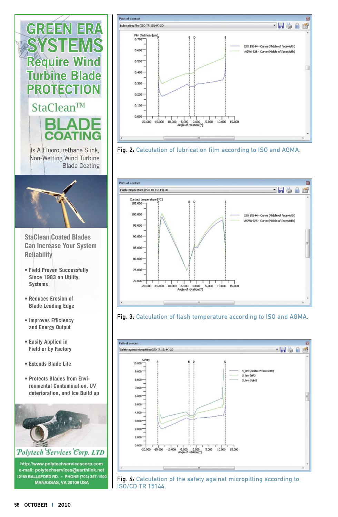

- **Reduces Erosion of Blade Leading Edge**
- **Improves Efficiency and Energy Output**
- **Easily Applied in Field or by Factory**
- **Extends Blade Life**
- **Protects Blades from Environmental Contamination, UV deterioration, and Ice Build up**





Fig. 2: Calculation of lubrication film according to ISO and AGMA.







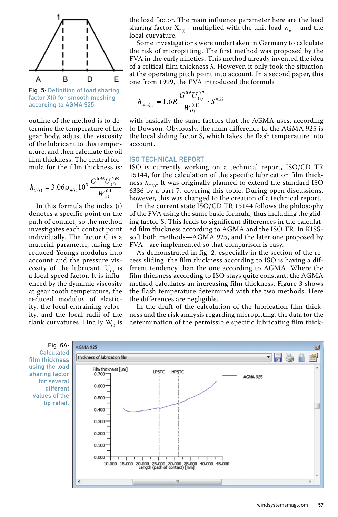

Fig. 5: Definition of load sharing factor X(i) for smooth meshing according to AGMA 925.

outline of the method is to determine the temperature of the gear body, adjust the viscosity of the lubricant to this temperature, and then calculate the oil film thickness. The central formula for the film thickness is:

$$
h_{C(i)} = 3.06 \rho_{n(i)} 10^3 \frac{G^{0.56} U_{(i)}^{0.69}}{W_{(i)}^{0.1}}
$$

In this formula the index (i) denotes a specific point on the path of contact, so the method investigates each contact point individually. The factor G is a material parameter, taking the reduced Youngs modulus into account and the pressure viscosity of the lubricant.  $U_{\alpha}$  is a local speed factor. It is influenced by the dynamic viscosity at gear tooth temperature, the reduced modulus of elasticity, the local entraining velocity, and the local radii of the flank curvatures. Finally  $W_{\alpha}$  is the load factor. The main influence parameter here are the load sharing factor  $X_{\tau(i)}$  - multiplied with the unit load  $w_n$  – and the local curvature.

Some investigations were undertaken in Germany to calculate the risk of micropitting. The first method was proposed by the FVA in the early nineties. This method already invented the idea of a critical film thickness λ. However, it only took the situation at the operating pitch point into account. In a second paper, this one from 1999, the FVA introduced the formula

$$
h_{\min(i)} = 1.6R \frac{G^{0.6} U_{(i)}^{0.7}}{W_{(i)}^{0.13}} \cdot S^{0.22}
$$

with basically the same factors that the AGMA uses, according to Dowson. Obviously, the main difference to the AGMA 925 is the local sliding factor S, which takes the flash temperature into account.

#### ISO Technical Report

ISO is currently working on a technical report, ISO/CD TR 15144, for the calculation of the specific lubrication film thickness  $\lambda_{\text{GFY}}$ . It was originally planned to extend the standard ISO 6336 by a part 7, covering this topic. During open discussions, however, this was changed to the creation of a technical report.

In the current state ISO/CD TR 15144 follows the philosophy of the FVA using the same basic formula, thus including the gliding factor S. This leads to significant differences in the calculated film thickness according to AGMA and the ISO TR. In KISSsoft both methods—AGMA 925, and the later one proposed by FVA—are implemented so that comparison is easy.

As demonstrated in fig. 2, especially in the section of the recess sliding, the film thickness according to ISO is having a different tendency than the one according to AGMA. Where the film thickness according to ISO stays quite constant, the AGMA method calculates an increasing film thickness. Figure 3 shows the flash temperature determined with the two methods. Here the differences are negligible.

In the draft of the calculation of the lubrication film thickness and the risk analysis regarding micropitting, the data for the determination of the permissible specific lubricating film thick-



Calculated film thickness using the load sharing factor for several different values of the tip relief.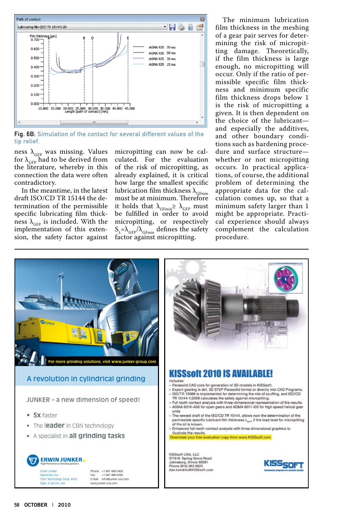

Fig. 6B: Simulation of the contact for several different values of the tip relief.

ness  $\lambda_{\text{GFP}}$  was missing. Values for  $\lambda_{\text{GFP}}$  had to be derived from the literature, whereby in this connection the data were often contradictory.

In the meantime, in the latest draft ISO/CD TR 15144 the determination of the permissible specific lubricating film thickness  $\lambda_{\text{GFP}}$  is included. With the implementation of this extension, the safety factor against micropitting can now be calculated. For the evaluation of the risk of micropitting, as already explained, it is critical how large the smallest specific lubrication film thickness  $\lambda_{\text{GFmin}}$ must be at minimum. Therefore it holds that  $\lambda_{\text{GFmin}} \geq \lambda_{\text{GFP}}$  must be fulfilled in order to avoid micropitting, or respectively  $S_{\lambda} = \lambda_{\text{GFP}} / \lambda_{\text{GFmin}}$  defines the safety factor against micropitting.

The minimum lubrication film thickness in the meshing of a gear pair serves for determining the risk of micropitting damage. Theoretically, if the film thickness is large enough, no micropitting will occur. Only if the ratio of permissible specific film thickness and minimum specific film thickness drops below 1 is the risk of micropitting a given. It is then dependent on the choice of the lubricant and especially the additives, and other boundary conditions such as hardening procedure and surface structure whether or not micropitting occurs. In practical applications, of course, the additional problem of determining the appropriate data for the calculation comes up, so that a minimum safety larger than 1 might be appropriate. Practical experience should always complement the calculation procedure.